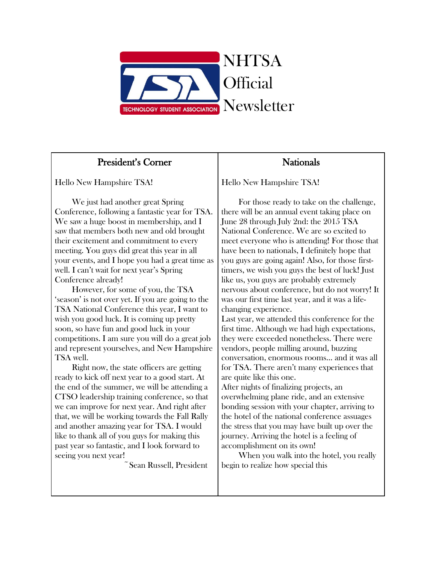

## President's Corner

Hello New Hampshire TSA!

 We just had another great Spring Conference, following a fantastic year for TSA. We saw a huge boost in membership, and I saw that members both new and old brought their excitement and commitment to every meeting. You guys did great this year in all your events, and I hope you had a great time as well. I can't wait for next year's Spring Conference already!

 However, for some of you, the TSA 'season' is not over yet. If you are going to the TSA National Conference this year, I want to wish you good luck. It is coming up pretty soon, so have fun and good luck in your competitions. I am sure you will do a great job and represent yourselves, and New Hampshire TSA well.

 Right now, the state officers are getting ready to kick off next year to a good start. At the end of the summer, we will be attending a CTSO leadership training conference, so that we can improve for next year. And right after that, we will be working towards the Fall Rally and another amazing year for TSA. I would like to thank all of you guys for making this past year so fantastic, and I look forward to seeing you next year!

~Sean Russell, President

## **Nationals**

Hello New Hampshire TSA!

 For those ready to take on the challenge, there will be an annual event taking place on June 28 through July 2nd: the 2015 TSA National Conference. We are so excited to meet everyone who is attending! For those that have been to nationals, I definitely hope that you guys are going again! Also, for those firsttimers, we wish you guys the best of luck! Just like us, you guys are probably extremely nervous about conference, but do not worry! It was our first time last year, and it was a lifechanging experience.

Last year, we attended this conference for the first time. Although we had high expectations, they were exceeded nonetheless. There were vendors, people milling around, buzzing conversation, enormous rooms… and it was all for TSA. There aren't many experiences that are quite like this one.

After nights of finalizing projects, an overwhelming plane ride, and an extensive bonding session with your chapter, arriving to the hotel of the national conference assuages the stress that you may have built up over the journey. Arriving the hotel is a feeling of accomplishment on its own!

 When you walk into the hotel, you really begin to realize how special this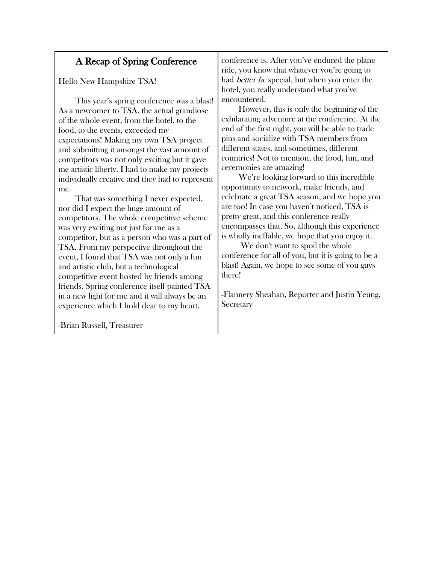| A Recap of Spring Conference                                                                                                                                                                                                                                                                                                                                                                                                                                                                                                                                                                                                                                    | conference is. After you've endured the plane                                                                                                                                                                                                                                                                                                                                                                                                                                                                                                                                         |
|-----------------------------------------------------------------------------------------------------------------------------------------------------------------------------------------------------------------------------------------------------------------------------------------------------------------------------------------------------------------------------------------------------------------------------------------------------------------------------------------------------------------------------------------------------------------------------------------------------------------------------------------------------------------|---------------------------------------------------------------------------------------------------------------------------------------------------------------------------------------------------------------------------------------------------------------------------------------------------------------------------------------------------------------------------------------------------------------------------------------------------------------------------------------------------------------------------------------------------------------------------------------|
|                                                                                                                                                                                                                                                                                                                                                                                                                                                                                                                                                                                                                                                                 | ride, you know that whatever you're going to                                                                                                                                                                                                                                                                                                                                                                                                                                                                                                                                          |
| Hello New Hampshire TSA!                                                                                                                                                                                                                                                                                                                                                                                                                                                                                                                                                                                                                                        | had <i>better be</i> special, but when you enter the                                                                                                                                                                                                                                                                                                                                                                                                                                                                                                                                  |
|                                                                                                                                                                                                                                                                                                                                                                                                                                                                                                                                                                                                                                                                 | hotel, you really understand what you've                                                                                                                                                                                                                                                                                                                                                                                                                                                                                                                                              |
| This year's spring conference was a blast!<br>As a newcomer to TSA, the actual grandiose<br>of the whole event, from the hotel, to the<br>food, to the events, exceeded my<br>expectations! Making my own TSA project<br>and submitting it amongst the vast amount of<br>competitors was not only exciting but it gave                                                                                                                                                                                                                                                                                                                                          | encountered.<br>However, this is only the beginning of the<br>exhilarating adventure at the conference. At the<br>end of the first night, you will be able to trade<br>pins and socialize with TSA members from<br>different states, and sometimes, different<br>countries! Not to mention, the food, fun, and                                                                                                                                                                                                                                                                        |
| me artistic liberty. I had to make my projects<br>individually creative and they had to represent<br>me.<br>That was something I never expected,<br>nor did I expect the huge amount of<br>competitors. The whole competitive scheme<br>was very exciting not just for me as a<br>competitor, but as a person who was a part of<br>TSA. From my perspective throughout the<br>event, I found that TSA was not only a fun<br>and artistic club, but a technological<br>competitive event hosted by friends among<br>friends. Spring conference itself painted TSA<br>in a new light for me and it will always be an<br>experience which I hold dear to my heart. | ceremonies are amazing!<br>We're looking forward to this incredible<br>opportunity to network, make friends, and<br>celebrate a great TSA season, and we hope you<br>are too! In case you haven't noticed, TSA is<br>pretty great, and this conference really<br>encompasses that. So, although this experience<br>is wholly ineffable, we hope that you enjoy it.<br>We don't want to spoil the whole<br>conference for all of you, but it is going to be a<br>blast! Again, we hope to see some of you guys<br>there!<br>-Flannery Sheahan, Reporter and Justin Yeung,<br>Secretary |
| -Brian Russell, Treasurer                                                                                                                                                                                                                                                                                                                                                                                                                                                                                                                                                                                                                                       |                                                                                                                                                                                                                                                                                                                                                                                                                                                                                                                                                                                       |